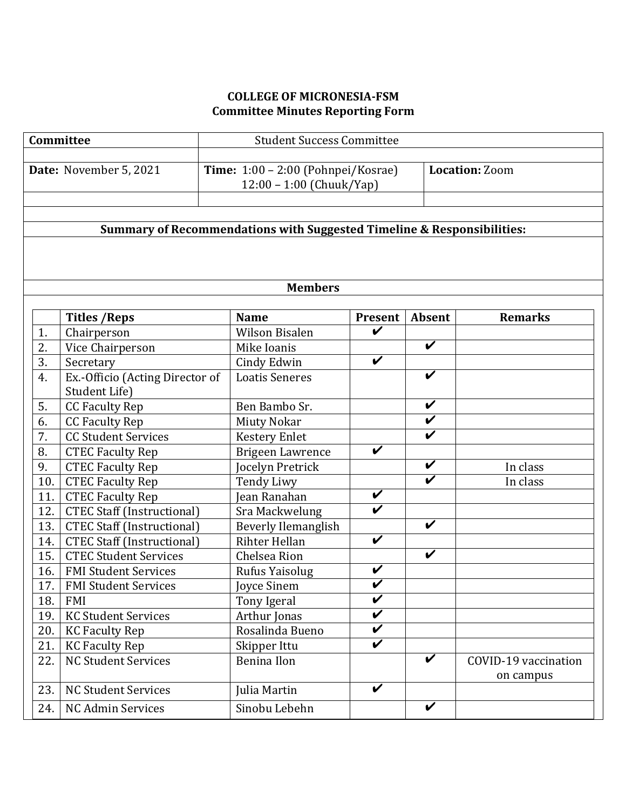# **COLLEGE OF MICRONESIA-FSM Committee Minutes Reporting Form**

| Committee              |                                   | <b>Student Success Committee</b>                                       |                            |                            |                       |  |  |  |
|------------------------|-----------------------------------|------------------------------------------------------------------------|----------------------------|----------------------------|-----------------------|--|--|--|
| Date: November 5, 2021 |                                   | Time: $1:00 - 2:00$ (Pohnpei/Kosrae)                                   |                            |                            | <b>Location: Zoom</b> |  |  |  |
|                        |                                   | 12:00 - 1:00 (Chuuk/Yap)                                               |                            |                            |                       |  |  |  |
|                        |                                   |                                                                        |                            |                            |                       |  |  |  |
|                        |                                   |                                                                        |                            |                            |                       |  |  |  |
|                        |                                   | Summary of Recommendations with Suggested Timeline & Responsibilities: |                            |                            |                       |  |  |  |
|                        |                                   |                                                                        |                            |                            |                       |  |  |  |
|                        |                                   |                                                                        |                            |                            |                       |  |  |  |
|                        |                                   | <b>Members</b>                                                         |                            |                            |                       |  |  |  |
|                        |                                   |                                                                        |                            |                            |                       |  |  |  |
|                        | <b>Titles / Reps</b>              | <b>Name</b>                                                            | <b>Present</b>             | <b>Absent</b>              | <b>Remarks</b>        |  |  |  |
| 1.                     | Chairperson                       | <b>Wilson Bisalen</b>                                                  | V                          |                            |                       |  |  |  |
| 2.                     | Vice Chairperson                  | Mike Ioanis                                                            |                            | $\overline{\mathbf{v}}$    |                       |  |  |  |
| 3.                     | Secretary                         | Cindy Edwin                                                            | $\boldsymbol{\mathcal{U}}$ |                            |                       |  |  |  |
| 4.                     | Ex.-Officio (Acting Director of   | <b>Loatis Seneres</b>                                                  |                            | $\overline{\mathbf{v}}$    |                       |  |  |  |
|                        | Student Life)                     |                                                                        |                            |                            |                       |  |  |  |
| 5.                     | <b>CC Faculty Rep</b>             | Ben Bambo Sr.                                                          |                            | $\overline{\mathbf{v}}$    |                       |  |  |  |
| 6.                     | <b>CC Faculty Rep</b>             | <b>Miuty Nokar</b>                                                     |                            | V                          |                       |  |  |  |
| 7.                     | <b>CC Student Services</b>        | <b>Kestery Enlet</b>                                                   |                            | $\overline{\mathbf{v}}$    |                       |  |  |  |
| 8.                     | <b>CTEC Faculty Rep</b>           | <b>Brigeen Lawrence</b>                                                | V                          |                            |                       |  |  |  |
| 9.                     | <b>CTEC Faculty Rep</b>           | Jocelyn Pretrick                                                       |                            | $\boldsymbol{\mathcal{U}}$ | In class              |  |  |  |
| 10.                    | <b>CTEC Faculty Rep</b>           | <b>Tendy Liwy</b>                                                      |                            | $\overline{\mathbf{v}}$    | In class              |  |  |  |
| 11.                    | <b>CTEC Faculty Rep</b>           | Jean Ranahan                                                           | V                          |                            |                       |  |  |  |
| 12.                    | <b>CTEC Staff (Instructional)</b> | Sra Mackwelung                                                         | $\overline{\mathbf{v}}$    |                            |                       |  |  |  |
| 13.                    | <b>CTEC Staff (Instructional)</b> | Beverly Ilemanglish                                                    |                            | $\checkmark$               |                       |  |  |  |
| 14.                    | <b>CTEC Staff (Instructional)</b> | Rihter Hellan                                                          | $\overline{\mathbf{v}}$    |                            |                       |  |  |  |
| 15.                    | <b>CTEC Student Services</b>      | Chelsea Rion                                                           |                            | $\boldsymbol{\mathcal{U}}$ |                       |  |  |  |
| 16.                    | <b>FMI Student Services</b>       | Rufus Yaisolug                                                         | V                          |                            |                       |  |  |  |
| 17.                    | <b>FMI Student Services</b>       | <b>Iovce Sinem</b>                                                     | $\overline{\mathbf{v}}$    |                            |                       |  |  |  |
| 18.                    | <b>FMI</b>                        | Tony Igeral                                                            | V                          |                            |                       |  |  |  |
| 19.                    | <b>KC Student Services</b>        | Arthur Jonas                                                           | $\overline{\mathbf{v}}$    |                            |                       |  |  |  |
| 20.                    | <b>KC Faculty Rep</b>             | Rosalinda Bueno                                                        | V                          |                            |                       |  |  |  |
| 21.                    | <b>KC Faculty Rep</b>             | Skipper Ittu                                                           | $\overline{\mathbf{v}}$    |                            |                       |  |  |  |
| 22.                    | <b>NC Student Services</b>        | <b>Benina Ilon</b>                                                     |                            | V                          | COVID-19 vaccination  |  |  |  |
|                        |                                   |                                                                        | V                          |                            | on campus             |  |  |  |
| 23.                    | <b>NC Student Services</b>        | Julia Martin                                                           |                            |                            |                       |  |  |  |
| 24.                    | <b>NC Admin Services</b>          | Sinobu Lebehn                                                          |                            | $\boldsymbol{\mathcal{U}}$ |                       |  |  |  |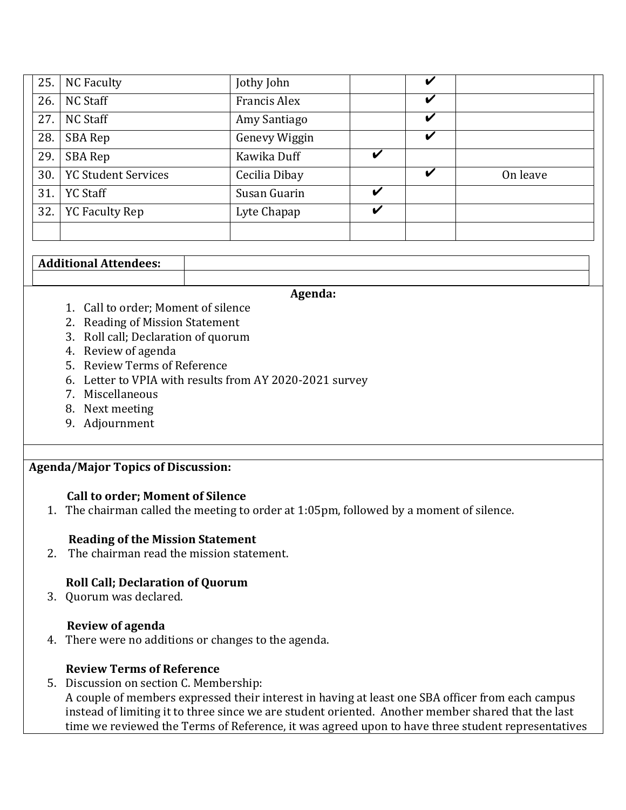| 25. | <b>NC Faculty</b>          | Jothy John           |   |   |          |
|-----|----------------------------|----------------------|---|---|----------|
| 26. | <b>NC Staff</b>            | <b>Francis Alex</b>  |   | V |          |
| 27. | NC Staff                   | Amy Santiago         |   | V |          |
| 28. | SBA Rep                    | <b>Genevy Wiggin</b> |   | V |          |
| 29. | SBA Rep                    | Kawika Duff          | V |   |          |
| 30. | <b>YC Student Services</b> | Cecilia Dibay        |   | V | On leave |
| 31. | <b>YC Staff</b>            | Susan Guarin         | V |   |          |
| 32. | <b>YC Faculty Rep</b>      | Lyte Chapap          | V |   |          |
|     |                            |                      |   |   |          |

## **Additional Attendees:**

#### **Agenda:**

- 1. Call to order; Moment of silence
- 2. Reading of Mission Statement
- 3. Roll call; Declaration of quorum
- 4. Review of agenda
- 5. Review Terms of Reference
- 6. Letter to VPIA with results from AY 2020-2021 survey
- 7. Miscellaneous
- 8. Next meeting
- 9. Adjournment

### **Agenda/Major Topics of Discussion:**

### **Call to order; Moment of Silence**

1. The chairman called the meeting to order at 1:05pm, followed by a moment of silence.

### **Reading of the Mission Statement**

2. The chairman read the mission statement.

### **Roll Call; Declaration of Quorum**

3. Quorum was declared.

#### **Review of agenda**

4. There were no additions or changes to the agenda.

### **Review Terms of Reference**

5. Discussion on section C. Membership: A couple of members expressed their interest in having at least one SBA officer from each campus instead of limiting it to three since we are student oriented. Another member shared that the last time we reviewed the Terms of Reference, it was agreed upon to have three student representatives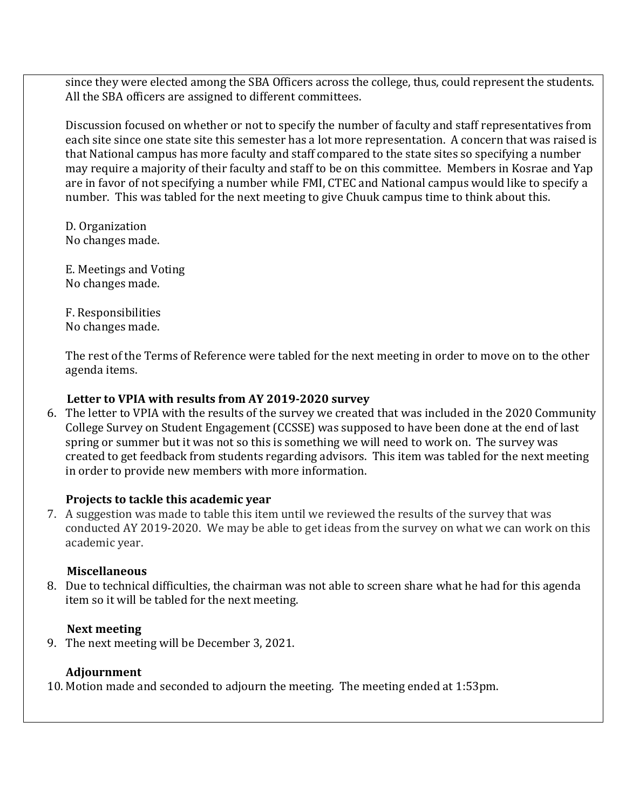since they were elected among the SBA Officers across the college, thus, could represent the students. All the SBA officers are assigned to different committees.

Discussion focused on whether or not to specify the number of faculty and staff representatives from each site since one state site this semester has a lot more representation. A concern that was raised is that National campus has more faculty and staff compared to the state sites so specifying a number may require a majority of their faculty and staff to be on this committee. Members in Kosrae and Yap are in favor of not specifying a number while FMI, CTEC and National campus would like to specify a number. This was tabled for the next meeting to give Chuuk campus time to think about this.

D. Organization No changes made.

E. Meetings and Voting No changes made.

F. Responsibilities No changes made.

The rest of the Terms of Reference were tabled for the next meeting in order to move on to the other agenda items.

### Letter to VPIA with results from AY 2019-2020 survey

6. The letter to VPIA with the results of the survey we created that was included in the 2020 Community College Survey on Student Engagement (CCSSE) was supposed to have been done at the end of last spring or summer but it was not so this is something we will need to work on. The survey was created to get feedback from students regarding advisors. This item was tabled for the next meeting in order to provide new members with more information.

### **Projects to tackle this academic vear**

7. A suggestion was made to table this item until we reviewed the results of the survey that was conducted AY 2019-2020. We may be able to get ideas from the survey on what we can work on this academic year.

### **Miscellaneous**

8. Due to technical difficulties, the chairman was not able to screen share what he had for this agenda item so it will be tabled for the next meeting.

### **Next meeting**

9. The next meeting will be December 3, 2021.

# **Adjournment**

10. Motion made and seconded to adjourn the meeting. The meeting ended at 1:53pm.